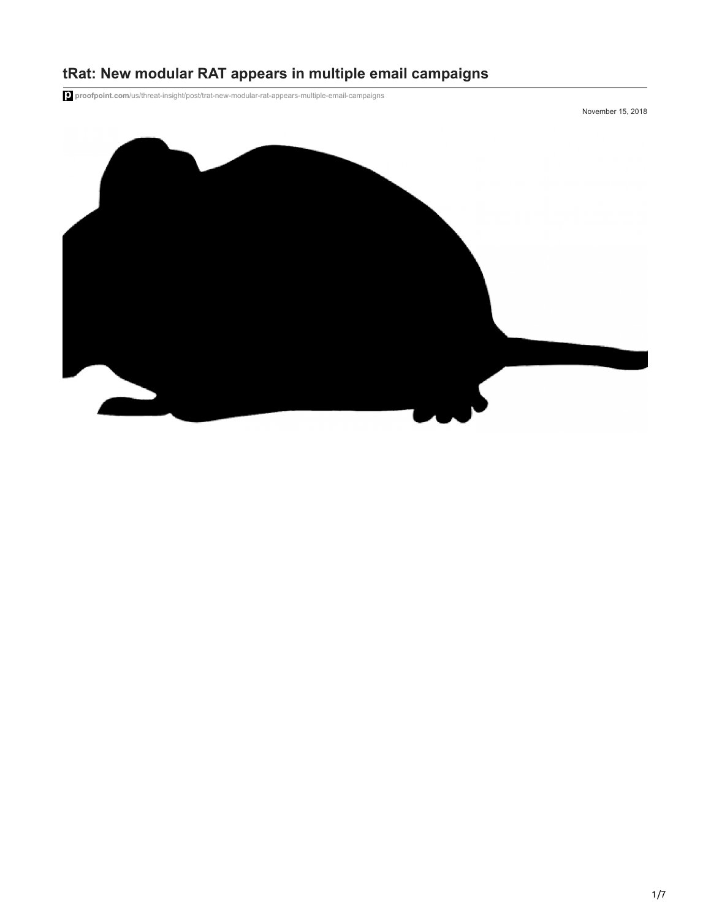

# **tRat: New modular RAT appears in multiple email campaigns**

**proofpoint.com**[/us/threat-insight/post/trat-new-modular-rat-appears-multiple-email-campaigns](https://www.proofpoint.com/us/threat-insight/post/trat-new-modular-rat-appears-multiple-email-campaigns)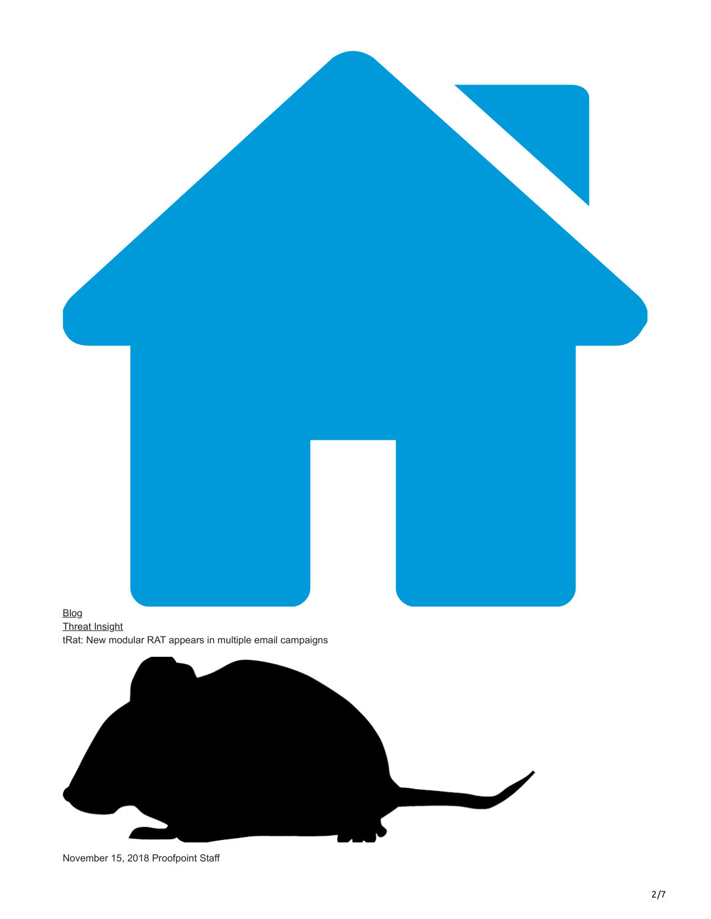

November 15, 2018 Proofpoint Staff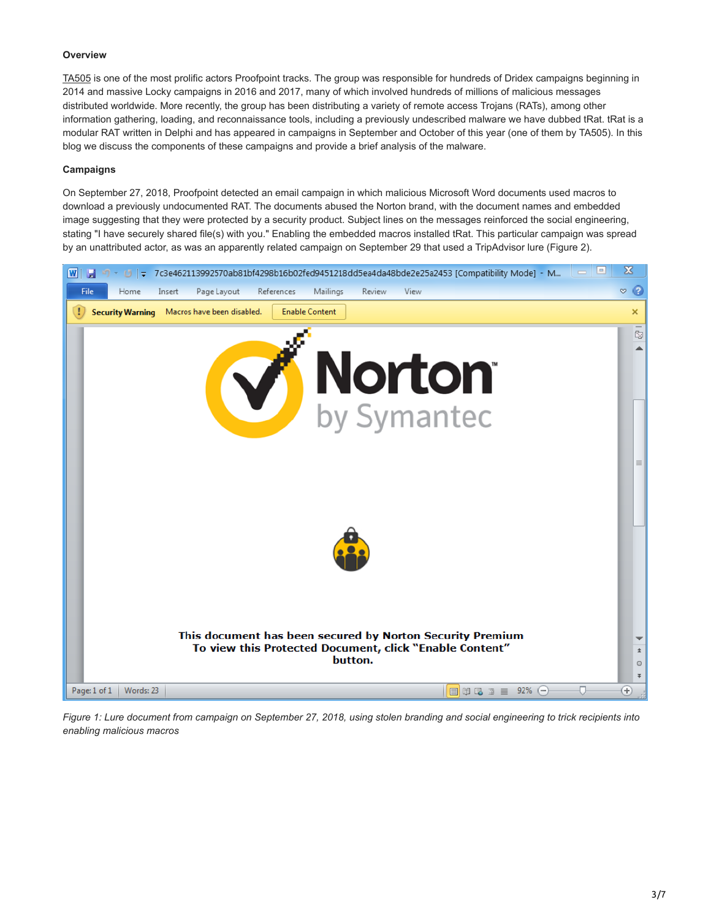# **Overview**

[TA505](https://www.proofpoint.com/us/threat-insight/post/threat-actor-profile-ta505-dridex-globeimposter) is one of the most prolific actors Proofpoint tracks. The group was responsible for hundreds of Dridex campaigns beginning in 2014 and massive Locky campaigns in 2016 and 2017, many of which involved hundreds of millions of malicious messages distributed worldwide. More recently, the group has been distributing a variety of remote access Trojans (RATs), among other information gathering, loading, and reconnaissance tools, including a previously undescribed malware we have dubbed tRat. tRat is a modular RAT written in Delphi and has appeared in campaigns in September and October of this year (one of them by TA505). In this blog we discuss the components of these campaigns and provide a brief analysis of the malware.

### **Campaigns**

On September 27, 2018, Proofpoint detected an email campaign in which malicious Microsoft Word documents used macros to download a previously undocumented RAT. The documents abused the Norton brand, with the document names and embedded image suggesting that they were protected by a security product. Subject lines on the messages reinforced the social engineering, stating "I have securely shared file(s) with you." Enabling the embedded macros installed tRat. This particular campaign was spread by an unattributed actor, as was an apparently related campaign on September 29 that used a TripAdvisor lure (Figure 2).



*Figure 1: Lure document from campaign on September 27, 2018, using stolen branding and social engineering to trick recipients into enabling malicious macros*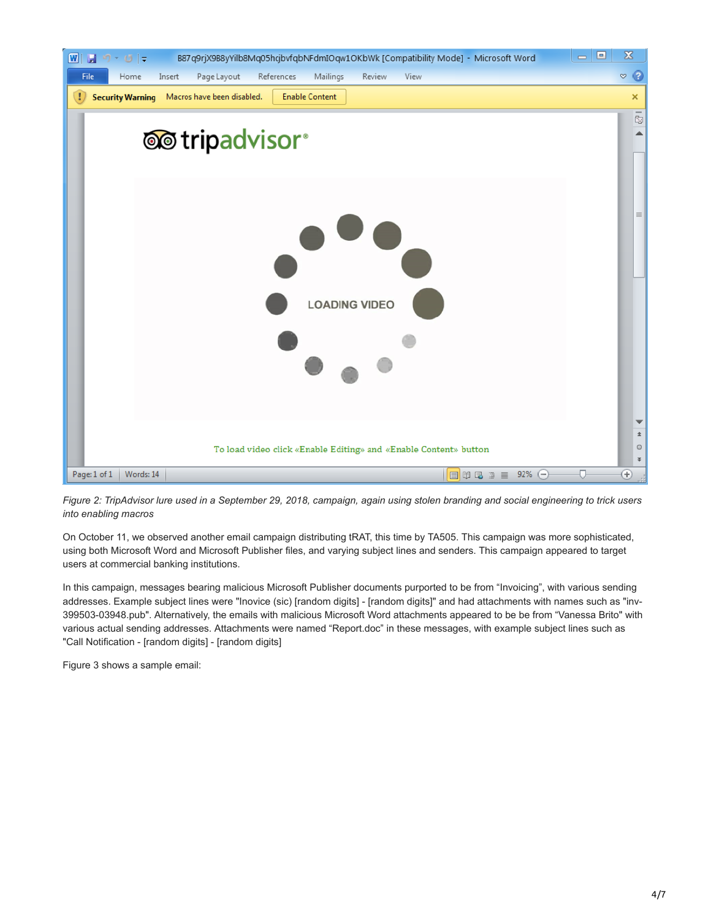

*Figure 2: TripAdvisor lure used in a September 29, 2018, campaign, again using stolen branding and social engineering to trick users into enabling macros*

On October 11, we observed another email campaign distributing tRAT, this time by TA505. This campaign was more sophisticated, using both Microsoft Word and Microsoft Publisher files, and varying subject lines and senders. This campaign appeared to target users at commercial banking institutions.

In this campaign, messages bearing malicious Microsoft Publisher documents purported to be from "Invoicing", with various sending addresses. Example subject lines were "Inovice (sic) [random digits] - [random digits]" and had attachments with names such as "inv-399503-03948.pub". Alternatively, the emails with malicious Microsoft Word attachments appeared to be be from "Vanessa Brito" with various actual sending addresses. Attachments were named "Report.doc" in these messages, with example subject lines such as "Call Notification - [random digits] - [random digits]

Figure 3 shows a sample email: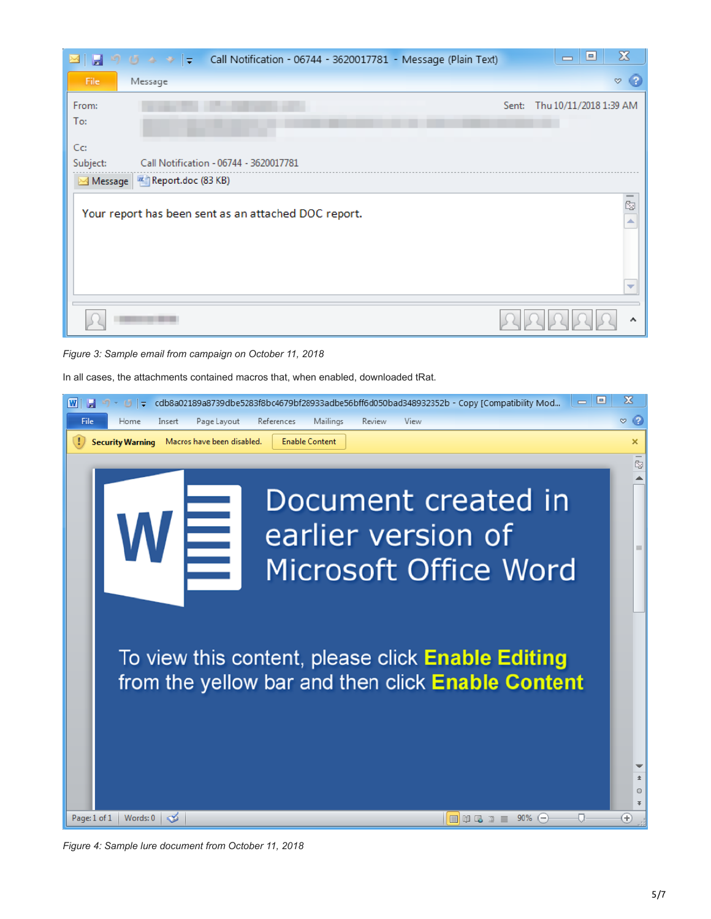|                                                                             | → 1 → 1 → 2 + 2 + Call Notification - 06744 - 3620017781 - Message (Plain Text) |       | $\boldsymbol{\Sigma}$<br>▣<br>$\qquad \qquad \blacksquare$ |  |  |
|-----------------------------------------------------------------------------|---------------------------------------------------------------------------------|-------|------------------------------------------------------------|--|--|
| File                                                                        | Message                                                                         |       | $\circ$ $\circ$                                            |  |  |
| From:                                                                       |                                                                                 | Sent: | Thu 10/11/2018 1:39 AM                                     |  |  |
| To:                                                                         |                                                                                 |       |                                                            |  |  |
| Cc:                                                                         |                                                                                 |       |                                                            |  |  |
| Subject:                                                                    | Call Notification - 06744 - 3620017781                                          |       |                                                            |  |  |
| Message   E Report.doc (83 KB)                                              |                                                                                 |       |                                                            |  |  |
| $\overline{5}$<br>Your report has been sent as an attached DOC report.<br>∸ |                                                                                 |       |                                                            |  |  |
|                                                                             |                                                                                 |       | ▼                                                          |  |  |
|                                                                             |                                                                                 |       |                                                            |  |  |

*Figure 3: Sample email from campaign on October 11, 2018*

In all cases, the attachments contained macros that, when enabled, downloaded tRat.



*Figure 4: Sample lure document from October 11, 2018*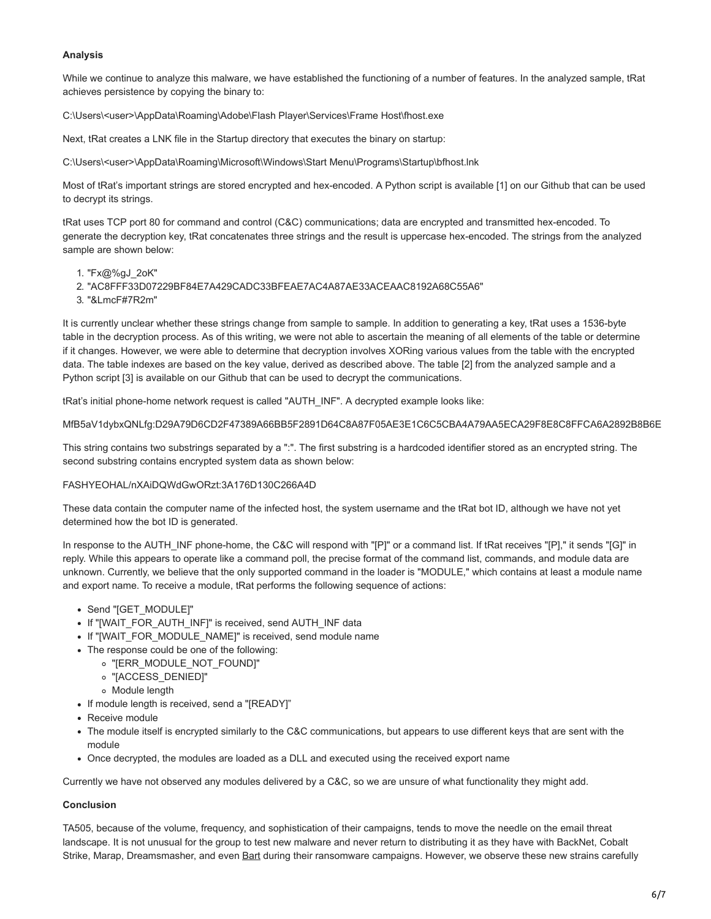# **Analysis**

While we continue to analyze this malware, we have established the functioning of a number of features. In the analyzed sample, tRat achieves persistence by copying the binary to:

C:\Users\<user>\AppData\Roaming\Adobe\Flash Player\Services\Frame Host\fhost.exe

Next, tRat creates a LNK file in the Startup directory that executes the binary on startup:

C:\Users\<user>\AppData\Roaming\Microsoft\Windows\Start Menu\Programs\Startup\bfhost.lnk

Most of tRat's important strings are stored encrypted and hex-encoded. A Python script is available [1] on our Github that can be used to decrypt its strings.

tRat uses TCP port 80 for command and control (C&C) communications; data are encrypted and transmitted hex-encoded. To generate the decryption key, tRat concatenates three strings and the result is uppercase hex-encoded. The strings from the analyzed sample are shown below:

- 1. "Fx@%gJ\_2oK"
- 2. "AC8FFF33D07229BF84E7A429CADC33BFEAE7AC4A87AE33ACEAAC8192A68C55A6"
- 3. "&LmcF#7R2m"

It is currently unclear whether these strings change from sample to sample. In addition to generating a key, tRat uses a 1536-byte table in the decryption process. As of this writing, we were not able to ascertain the meaning of all elements of the table or determine if it changes. However, we were able to determine that decryption involves XORing various values from the table with the encrypted data. The table indexes are based on the key value, derived as described above. The table [2] from the analyzed sample and a Python script [3] is available on our Github that can be used to decrypt the communications.

tRat's initial phone-home network request is called "AUTH\_INF". A decrypted example looks like:

MfB5aV1dybxQNLfg:D29A79D6CD2F47389A66BB5F2891D64C8A87F05AE3E1C6C5CBA4A79AA5ECA29F8E8C8FFCA6A2892B8B6E

This string contains two substrings separated by a ":". The first substring is a hardcoded identifier stored as an encrypted string. The second substring contains encrypted system data as shown below:

#### FASHYEOHAL/nXAiDQWdGwORzt:3A176D130C266A4D

These data contain the computer name of the infected host, the system username and the tRat bot ID, although we have not yet determined how the bot ID is generated.

In response to the AUTH\_INF phone-home, the C&C will respond with "[P]" or a command list. If tRat receives "[P]," it sends "[G]" in reply. While this appears to operate like a command poll, the precise format of the command list, commands, and module data are unknown. Currently, we believe that the only supported command in the loader is "MODULE," which contains at least a module name and export name. To receive a module, tRat performs the following sequence of actions:

- Send "[GET\_MODULE]"
- If "[WAIT\_FOR\_AUTH\_INF]" is received, send AUTH\_INF data
- If "[WAIT\_FOR\_MODULE\_NAME]" is received, send module name
- The response could be one of the following:
	- "[ERR\_MODULE\_NOT\_FOUND]"
		- "[ACCESS\_DENIED]"
		- Module length
- If module length is received, send a "[READY]"
- Receive module
- The module itself is encrypted similarly to the C&C communications, but appears to use different keys that are sent with the module
- Once decrypted, the modules are loaded as a DLL and executed using the received export name

Currently we have not observed any modules delivered by a C&C, so we are unsure of what functionality they might add.

# **Conclusion**

TA505, because of the volume, frequency, and sophistication of their campaigns, tends to move the needle on the email threat landscape. It is not unusual for the group to test new malware and never return to distributing it as they have with BackNet, Cobalt Strike, Marap, Dreamsmasher, and even [Bart](https://www.proofpoint.com/us/threat-insight/post/New-Bart-Ransomware-from-Threat-Actors-Spreading-Dridex-and-Locky) during their ransomware campaigns. However, we observe these new strains carefully